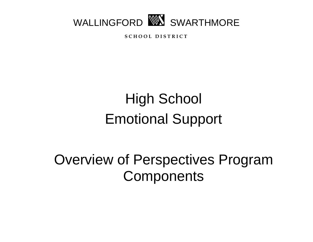

**S C H O O L D I S T R I C T**

# High School Emotional Support

Overview of Perspectives Program **Components**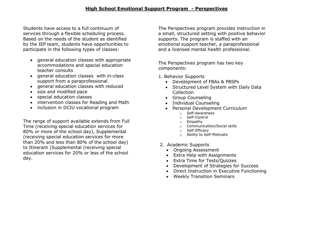Students have access to a full continuum of services through a flexible scheduling process. Based on the needs of the student as identified by the IEP team, students have opportunities to participate in the following types of classes:

- general education classes with appropriate accommodations and special education teacher consults
- general education classes with in-class support from a paraprofessional
- general education classes with reduced
- size and modified pace
- special education classes
- intervention classes for Reading and Math
- inclusion in DCIU vocational program

The range of support available extends from Full Time (receiving special education services for 80% or more of the school day), Supplemental (receiving special education services for more than 20% and less than 80% of the school day) to Itinerant (Supplemental (receiving special education services for 20% or less of the school day.

The Perspectives program provides instruction in a small, structured setting with positive behavior supports. The program is staffed with an emotional support teacher, a paraprofessional and a licensed mental health professional.

The Perspectives program has two key components:

- 1. Behavior Supports
	- Development of FBAs & PBSPs
	- Structured Level System with Daily Data Collection
	- Group Counseling
	- Individual Counseling
	- Personal Development Curriculum
		- o Self-Awareness
		- o Self-Control
		- o Empathy
		- o Communication/Social skills
		- o Self-Efficacy
		- o Ability to Self-Motivate
- 2. Academic Supports
	- Ongoing Assessment
	- Extra Help with Assignments
	- Extra Time for Tests/Quizzes
	- Development of Strategies for Success
	- Direct Instruction in Executive Functioning
	- Weekly Transition Seminars